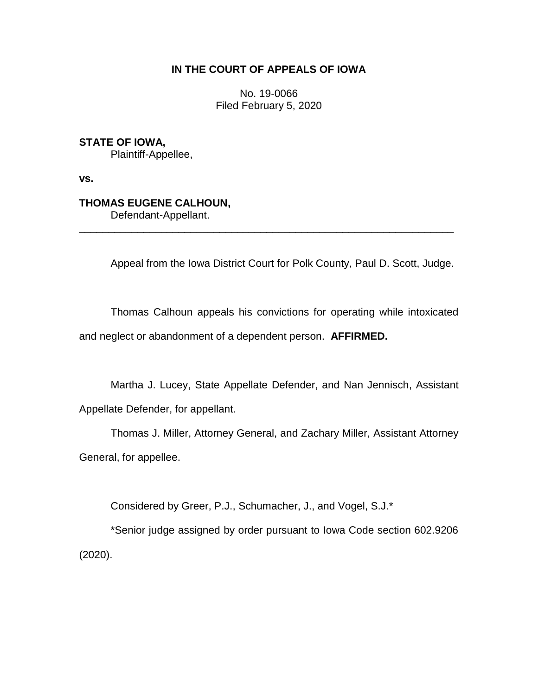## **IN THE COURT OF APPEALS OF IOWA**

No. 19-0066 Filed February 5, 2020

**STATE OF IOWA,**

Plaintiff-Appellee,

**vs.**

## **THOMAS EUGENE CALHOUN,**

Defendant-Appellant.

Appeal from the Iowa District Court for Polk County, Paul D. Scott, Judge.

Thomas Calhoun appeals his convictions for operating while intoxicated and neglect or abandonment of a dependent person. **AFFIRMED.**

\_\_\_\_\_\_\_\_\_\_\_\_\_\_\_\_\_\_\_\_\_\_\_\_\_\_\_\_\_\_\_\_\_\_\_\_\_\_\_\_\_\_\_\_\_\_\_\_\_\_\_\_\_\_\_\_\_\_\_\_\_\_\_\_

Martha J. Lucey, State Appellate Defender, and Nan Jennisch, Assistant Appellate Defender, for appellant.

Thomas J. Miller, Attorney General, and Zachary Miller, Assistant Attorney General, for appellee.

Considered by Greer, P.J., Schumacher, J., and Vogel, S.J.\*

\*Senior judge assigned by order pursuant to Iowa Code section 602.9206 (2020).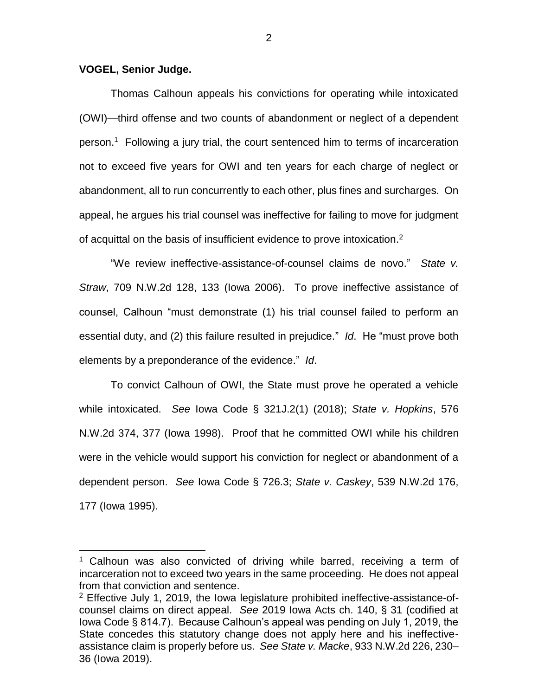## **VOGEL, Senior Judge.**

 $\overline{a}$ 

Thomas Calhoun appeals his convictions for operating while intoxicated (OWI)—third offense and two counts of abandonment or neglect of a dependent person.<sup>1</sup> Following a jury trial, the court sentenced him to terms of incarceration not to exceed five years for OWI and ten years for each charge of neglect or abandonment, all to run concurrently to each other, plus fines and surcharges. On appeal, he argues his trial counsel was ineffective for failing to move for judgment of acquittal on the basis of insufficient evidence to prove intoxication. 2

"We review ineffective-assistance-of-counsel claims de novo." *State v. Straw*, 709 N.W.2d 128, 133 (Iowa 2006). To prove ineffective assistance of counsel, Calhoun "must demonstrate (1) his trial counsel failed to perform an essential duty, and (2) this failure resulted in prejudice." *Id*. He "must prove both elements by a preponderance of the evidence." *Id*.

To convict Calhoun of OWI, the State must prove he operated a vehicle while intoxicated. *See* Iowa Code § 321J.2(1) (2018); *State v. Hopkins*, 576 N.W.2d 374, 377 (Iowa 1998). Proof that he committed OWI while his children were in the vehicle would support his conviction for neglect or abandonment of a dependent person. *See* Iowa Code § 726.3; *State v. Caskey*, 539 N.W.2d 176, 177 (Iowa 1995).

 $1$  Calhoun was also convicted of driving while barred, receiving a term of incarceration not to exceed two years in the same proceeding. He does not appeal from that conviction and sentence.

<sup>2</sup> Effective July 1, 2019, the Iowa legislature prohibited ineffective-assistance-ofcounsel claims on direct appeal. *See* 2019 Iowa Acts ch. 140, § 31 (codified at Iowa Code § 814.7). Because Calhoun's appeal was pending on July 1, 2019, the State concedes this statutory change does not apply here and his ineffectiveassistance claim is properly before us. *See State v. Macke*, 933 N.W.2d 226, 230– 36 (Iowa 2019).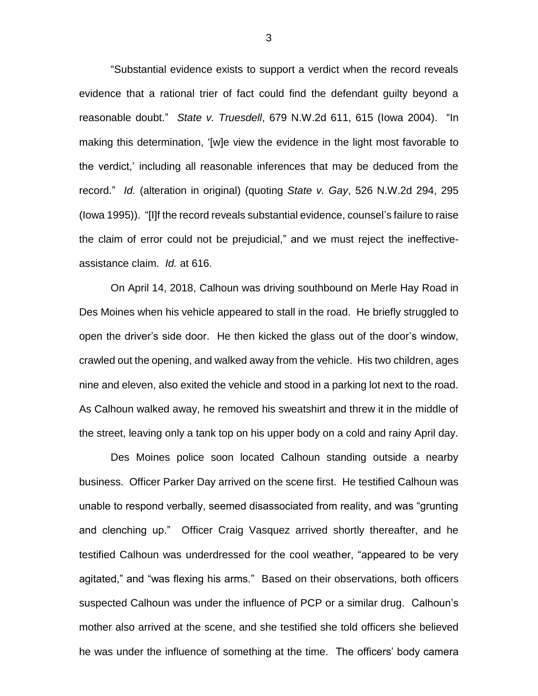"Substantial evidence exists to support a verdict when the record reveals evidence that a rational trier of fact could find the defendant guilty beyond a reasonable doubt." *State v. Truesdell*, 679 N.W.2d 611, 615 (Iowa 2004). "In making this determination, '[w]e view the evidence in the light most favorable to the verdict,' including all reasonable inferences that may be deduced from the record." *Id.* (alteration in original) (quoting *State v. Gay*, 526 N.W.2d 294, 295 (Iowa 1995)). "[I]f the record reveals substantial evidence, counsel's failure to raise the claim of error could not be prejudicial," and we must reject the ineffectiveassistance claim. *Id.* at 616.

On April 14, 2018, Calhoun was driving southbound on Merle Hay Road in Des Moines when his vehicle appeared to stall in the road. He briefly struggled to open the driver's side door. He then kicked the glass out of the door's window, crawled out the opening, and walked away from the vehicle. His two children, ages nine and eleven, also exited the vehicle and stood in a parking lot next to the road. As Calhoun walked away, he removed his sweatshirt and threw it in the middle of the street, leaving only a tank top on his upper body on a cold and rainy April day.

Des Moines police soon located Calhoun standing outside a nearby business. Officer Parker Day arrived on the scene first. He testified Calhoun was unable to respond verbally, seemed disassociated from reality, and was "grunting and clenching up." Officer Craig Vasquez arrived shortly thereafter, and he testified Calhoun was underdressed for the cool weather, "appeared to be very agitated," and "was flexing his arms." Based on their observations, both officers suspected Calhoun was under the influence of PCP or a similar drug. Calhoun's mother also arrived at the scene, and she testified she told officers she believed he was under the influence of something at the time. The officers' body camera